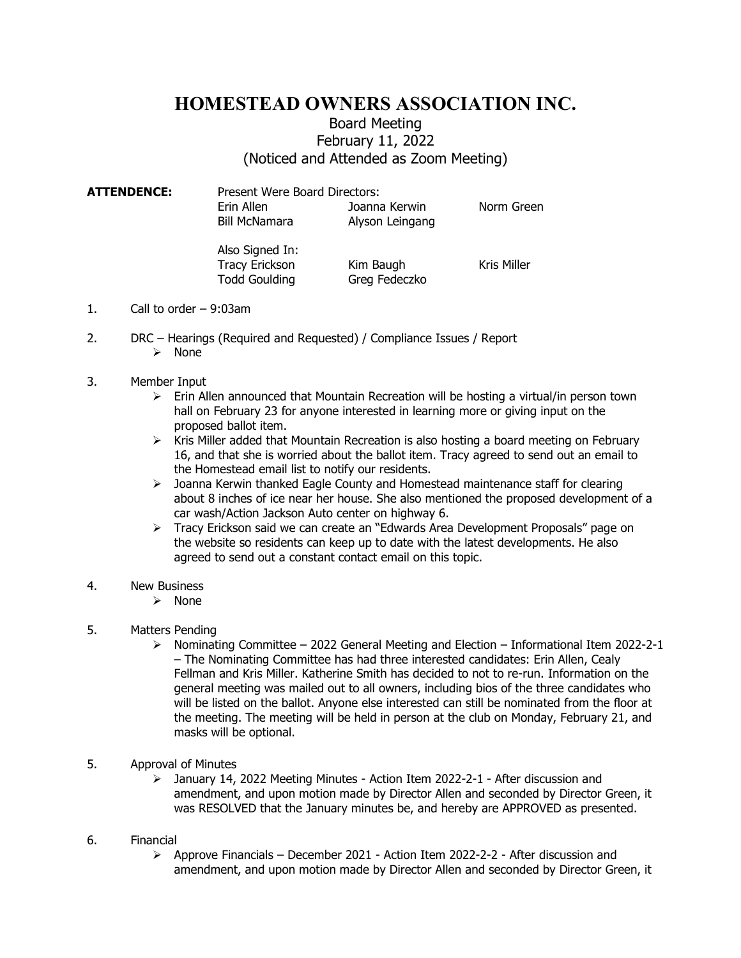## HOMESTEAD OWNERS ASSOCIATION INC.

## Board Meeting February 11, 2022 (Noticed and Attended as Zoom Meeting)

ATTENDENCE: Present Were Board Directors: Erin Allen **II. Joanna Kerwin** Norm Green Bill McNamara Alyson Leingang

> Also Signed In: Tracy Erickson Kim Baugh Kris Miller Todd Goulding Greg Fedeczko

- 1. Call to order 9:03am
- 2. DRC Hearings (Required and Requested) / Compliance Issues / Report  $\triangleright$  None
- 3. Member Input
	- $\triangleright$  Erin Allen announced that Mountain Recreation will be hosting a virtual/in person town hall on February 23 for anyone interested in learning more or giving input on the proposed ballot item.
	- $\triangleright$  Kris Miller added that Mountain Recreation is also hosting a board meeting on February 16, and that she is worried about the ballot item. Tracy agreed to send out an email to the Homestead email list to notify our residents.
	- $\triangleright$  Joanna Kerwin thanked Eagle County and Homestead maintenance staff for clearing about 8 inches of ice near her house. She also mentioned the proposed development of a car wash/Action Jackson Auto center on highway 6.
	- Tracy Erickson said we can create an "Edwards Area Development Proposals" page on the website so residents can keep up to date with the latest developments. He also agreed to send out a constant contact email on this topic.
- 4. New Business
	- $\triangleright$  None
- 5. Matters Pending
	- $\triangleright$  Nominating Committee 2022 General Meeting and Election Informational Item 2022-2-1 – The Nominating Committee has had three interested candidates: Erin Allen, Cealy Fellman and Kris Miller. Katherine Smith has decided to not to re-run. Information on the general meeting was mailed out to all owners, including bios of the three candidates who will be listed on the ballot. Anyone else interested can still be nominated from the floor at the meeting. The meeting will be held in person at the club on Monday, February 21, and masks will be optional.
- 5. Approval of Minutes
	- January 14, 2022 Meeting Minutes Action Item 2022-2-1 After discussion and amendment, and upon motion made by Director Allen and seconded by Director Green, it was RESOLVED that the January minutes be, and hereby are APPROVED as presented.
- 6. Financial
	- $\triangleright$  Approve Financials December 2021 Action Item 2022-2-2 After discussion and amendment, and upon motion made by Director Allen and seconded by Director Green, it